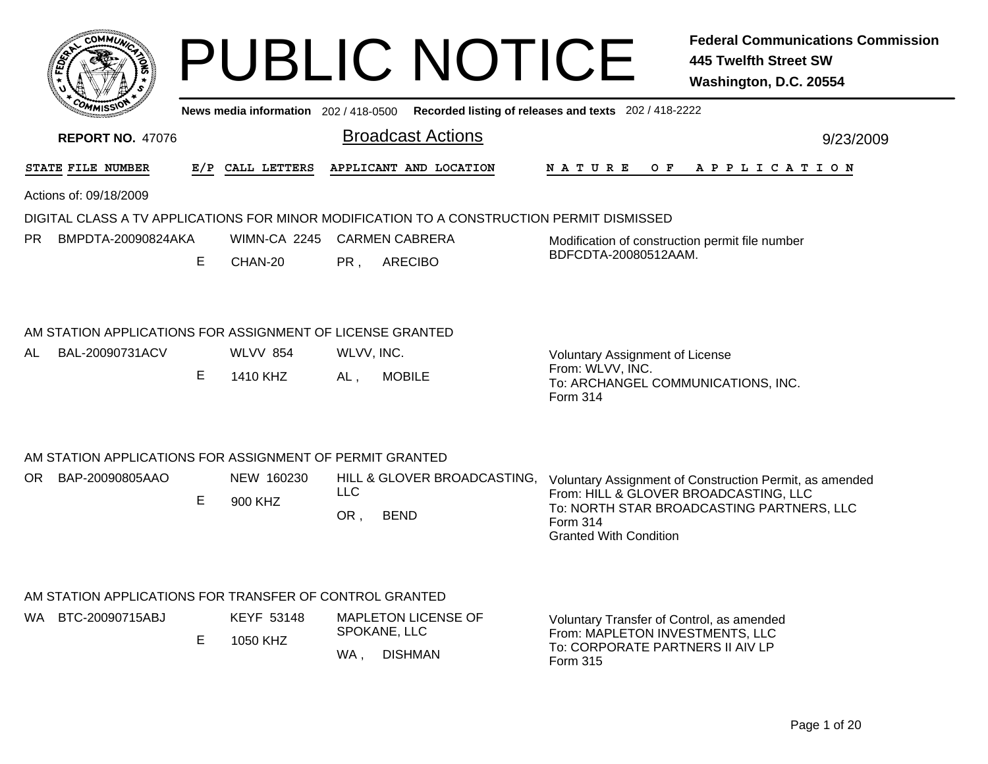|     | COMMUN                                                                                    |    |                   |                                                                         | <b>PUBLIC NOTICE</b>        |                                                                                             | <b>Federal Communications Commission</b><br><b>445 Twelfth Street SW</b><br>Washington, D.C. 20554 |
|-----|-------------------------------------------------------------------------------------------|----|-------------------|-------------------------------------------------------------------------|-----------------------------|---------------------------------------------------------------------------------------------|----------------------------------------------------------------------------------------------------|
|     |                                                                                           |    |                   |                                                                         |                             | News media information 202 / 418-0500 Recorded listing of releases and texts 202 / 418-2222 |                                                                                                    |
|     | <b>REPORT NO. 47076</b>                                                                   |    |                   | <b>Broadcast Actions</b>                                                |                             |                                                                                             | 9/23/2009                                                                                          |
|     | STATE FILE NUMBER                                                                         |    | E/P CALL LETTERS  | APPLICANT AND LOCATION                                                  |                             | N A T U R E<br>O F                                                                          | A P P L I C A T I O N                                                                              |
|     | Actions of: 09/18/2009                                                                    |    |                   |                                                                         |                             |                                                                                             |                                                                                                    |
|     | DIGITAL CLASS A TV APPLICATIONS FOR MINOR MODIFICATION TO A CONSTRUCTION PERMIT DISMISSED |    |                   |                                                                         |                             |                                                                                             |                                                                                                    |
| PR. | BMPDTA-20090824AKA                                                                        |    |                   | WIMN-CA 2245 CARMEN CABRERA                                             |                             | Modification of construction permit file number<br>BDFCDTA-20080512AAM.                     |                                                                                                    |
|     |                                                                                           | E  | CHAN-20           | <b>ARECIBO</b><br>PR,                                                   |                             |                                                                                             |                                                                                                    |
|     | AM STATION APPLICATIONS FOR ASSIGNMENT OF LICENSE GRANTED                                 |    |                   |                                                                         |                             |                                                                                             |                                                                                                    |
| AL  | BAL-20090731ACV                                                                           |    | <b>WLVV 854</b>   | WLVV, INC.                                                              |                             | <b>Voluntary Assignment of License</b>                                                      |                                                                                                    |
|     |                                                                                           | E. | 1410 KHZ          | <b>MOBILE</b><br>AL,                                                    |                             | From: WLVV, INC.<br>To: ARCHANGEL COMMUNICATIONS, INC.<br><b>Form 314</b>                   |                                                                                                    |
|     | AM STATION APPLICATIONS FOR ASSIGNMENT OF PERMIT GRANTED                                  |    |                   |                                                                         |                             |                                                                                             |                                                                                                    |
|     | OR BAP-20090805AAO                                                                        |    | NEW 160230        |                                                                         | HILL & GLOVER BROADCASTING, |                                                                                             | Voluntary Assignment of Construction Permit, as amended                                            |
|     |                                                                                           | Е  | 900 KHZ           | <b>LLC</b>                                                              |                             | From: HILL & GLOVER BROADCASTING, LLC                                                       | To: NORTH STAR BROADCASTING PARTNERS, LLC                                                          |
|     |                                                                                           |    |                   | OR,<br><b>BEND</b>                                                      |                             | Form 314<br><b>Granted With Condition</b>                                                   |                                                                                                    |
|     | AM STATION APPLICATIONS FOR TRANSFER OF CONTROL GRANTED                                   |    |                   |                                                                         |                             |                                                                                             |                                                                                                    |
|     | WA BTC-20090715ABJ                                                                        |    | <b>KEYF 53148</b> | <b>MAPLETON LICENSE OF</b>                                              |                             | Voluntary Transfer of Control, as amended                                                   |                                                                                                    |
|     |                                                                                           | Е  | 1050 KHZ          | SPOKANE, LLC<br>$\sim$ $\sim$ $\sim$ $\sim$ $\sim$ $\sim$ $\sim$ $\sim$ |                             | From: MAPLETON INVESTMENTS, LLC<br>To: CORPORATE PARTNERS II AIV LP                         |                                                                                                    |

Form 315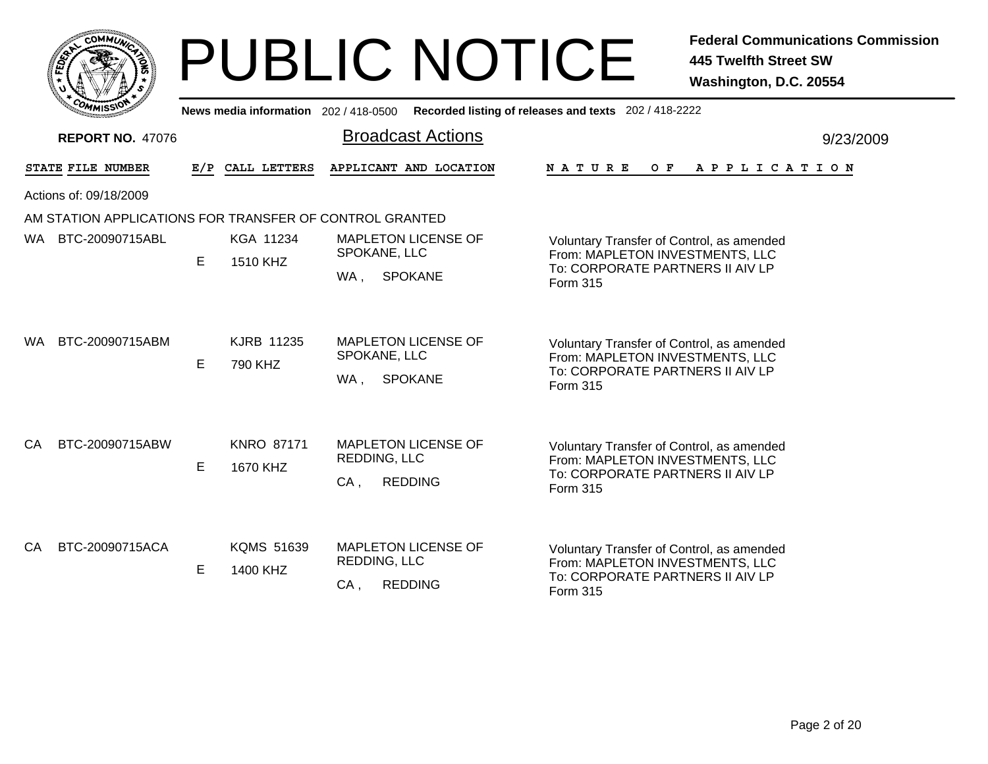|    |                  | <b>MMUNA</b><br>COI |   |  |
|----|------------------|---------------------|---|--|
| ຊ້ |                  |                     | ٥ |  |
|    |                  |                     |   |  |
|    | CO <sub>MI</sub> | MISS<br>muce        |   |  |

|     | COMMISSION                                              |   | News media information 202 / 418-0500 |                                                                        | Recorded listing of releases and texts 202 / 418-2222                                                                               |  |
|-----|---------------------------------------------------------|---|---------------------------------------|------------------------------------------------------------------------|-------------------------------------------------------------------------------------------------------------------------------------|--|
|     | <b>REPORT NO. 47076</b>                                 |   |                                       | <b>Broadcast Actions</b>                                               | 9/23/2009                                                                                                                           |  |
|     | STATE FILE NUMBER                                       |   | E/P CALL LETTERS                      | APPLICANT AND LOCATION                                                 | NATURE<br>O F<br>A P P L I C A T I O N                                                                                              |  |
|     | Actions of: 09/18/2009                                  |   |                                       |                                                                        |                                                                                                                                     |  |
|     | AM STATION APPLICATIONS FOR TRANSFER OF CONTROL GRANTED |   |                                       |                                                                        |                                                                                                                                     |  |
| WA. | BTC-20090715ABL                                         | E | KGA 11234<br>1510 KHZ                 | <b>MAPLETON LICENSE OF</b><br>SPOKANE, LLC<br><b>SPOKANE</b><br>WA,    | Voluntary Transfer of Control, as amended<br>From: MAPLETON INVESTMENTS, LLC<br>To: CORPORATE PARTNERS II AIV LP<br>Form 315        |  |
| WA. | BTC-20090715ABM                                         | E | KJRB 11235<br>790 KHZ                 | <b>MAPLETON LICENSE OF</b><br>SPOKANE, LLC<br><b>SPOKANE</b><br>WA.    | Voluntary Transfer of Control, as amended<br>From: MAPLETON INVESTMENTS, LLC<br>To: CORPORATE PARTNERS II AIV LP<br><b>Form 315</b> |  |
| CA  | BTC-20090715ABW                                         | E | <b>KNRO 87171</b><br>1670 KHZ         | <b>MAPLETON LICENSE OF</b><br>REDDING, LLC<br>$CA$ ,<br><b>REDDING</b> | Voluntary Transfer of Control, as amended<br>From: MAPLETON INVESTMENTS, LLC<br>To: CORPORATE PARTNERS II AIV LP<br><b>Form 315</b> |  |
| CA  | BTC-20090715ACA                                         | E | <b>KQMS 51639</b><br>1400 KHZ         | <b>MAPLETON LICENSE OF</b><br>REDDING, LLC<br><b>REDDING</b><br>$CA$ , | Voluntary Transfer of Control, as amended<br>From: MAPLETON INVESTMENTS, LLC<br>To: CORPORATE PARTNERS II AIV LP<br>Form 315        |  |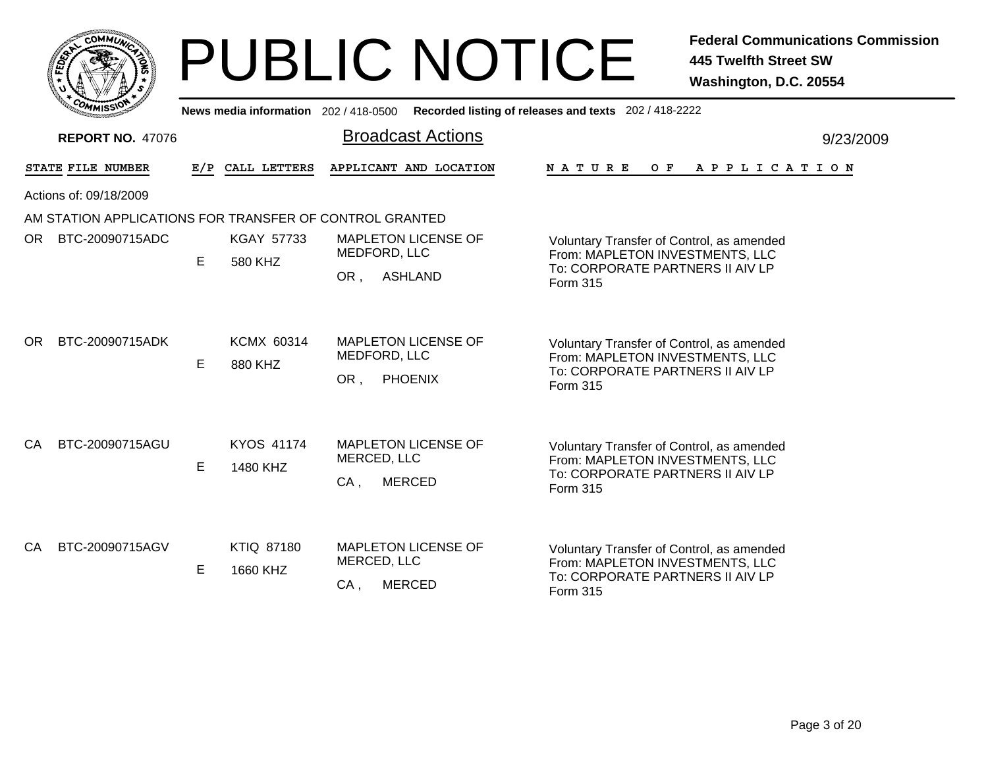|    |                  | <b>MMUNA</b><br>COI |   |  |
|----|------------------|---------------------|---|--|
| ຊ້ |                  |                     | ٥ |  |
|    |                  |                     |   |  |
|    | CO <sub>MI</sub> | MISS<br>muce        |   |  |

|      | COMMISSION                                              |    | News media information 202 / 418-0500 |                                                                      | Recorded listing of releases and texts 202 / 418-2222                                                                               |           |
|------|---------------------------------------------------------|----|---------------------------------------|----------------------------------------------------------------------|-------------------------------------------------------------------------------------------------------------------------------------|-----------|
|      | <b>REPORT NO. 47076</b>                                 |    |                                       | <b>Broadcast Actions</b>                                             |                                                                                                                                     | 9/23/2009 |
|      | STATE FILE NUMBER                                       |    | E/P CALL LETTERS                      | APPLICANT AND LOCATION                                               | N A T U R E<br>O F<br>A P P L I C A T I O N                                                                                         |           |
|      | Actions of: 09/18/2009                                  |    |                                       |                                                                      |                                                                                                                                     |           |
|      | AM STATION APPLICATIONS FOR TRANSFER OF CONTROL GRANTED |    |                                       |                                                                      |                                                                                                                                     |           |
| OR I | BTC-20090715ADC                                         | E  | <b>KGAY 57733</b><br>580 KHZ          | <b>MAPLETON LICENSE OF</b><br>MEDFORD, LLC<br><b>ASHLAND</b><br>OR,  | Voluntary Transfer of Control, as amended<br>From: MAPLETON INVESTMENTS, LLC<br>To: CORPORATE PARTNERS II AIV LP<br>Form 315        |           |
| OR.  | BTC-20090715ADK                                         | E  | <b>KCMX 60314</b><br>880 KHZ          | <b>MAPLETON LICENSE OF</b><br>MEDFORD, LLC<br>OR,<br><b>PHOENIX</b>  | Voluntary Transfer of Control, as amended<br>From: MAPLETON INVESTMENTS, LLC<br>To: CORPORATE PARTNERS II AIV LP<br><b>Form 315</b> |           |
| CA.  | BTC-20090715AGU                                         | E  | <b>KYOS 41174</b><br>1480 KHZ         | <b>MAPLETON LICENSE OF</b><br>MERCED, LLC<br>$CA$ ,<br>MERCED        | Voluntary Transfer of Control, as amended<br>From: MAPLETON INVESTMENTS, LLC<br>To: CORPORATE PARTNERS II AIV LP<br>Form 315        |           |
| CA.  | BTC-20090715AGV                                         | E. | <b>KTIQ 87180</b><br>1660 KHZ         | <b>MAPLETON LICENSE OF</b><br>MERCED, LLC<br>$CA$ ,<br><b>MERCED</b> | Voluntary Transfer of Control, as amended<br>From: MAPLETON INVESTMENTS, LLC<br>To: CORPORATE PARTNERS II AIV LP<br>Form 315        |           |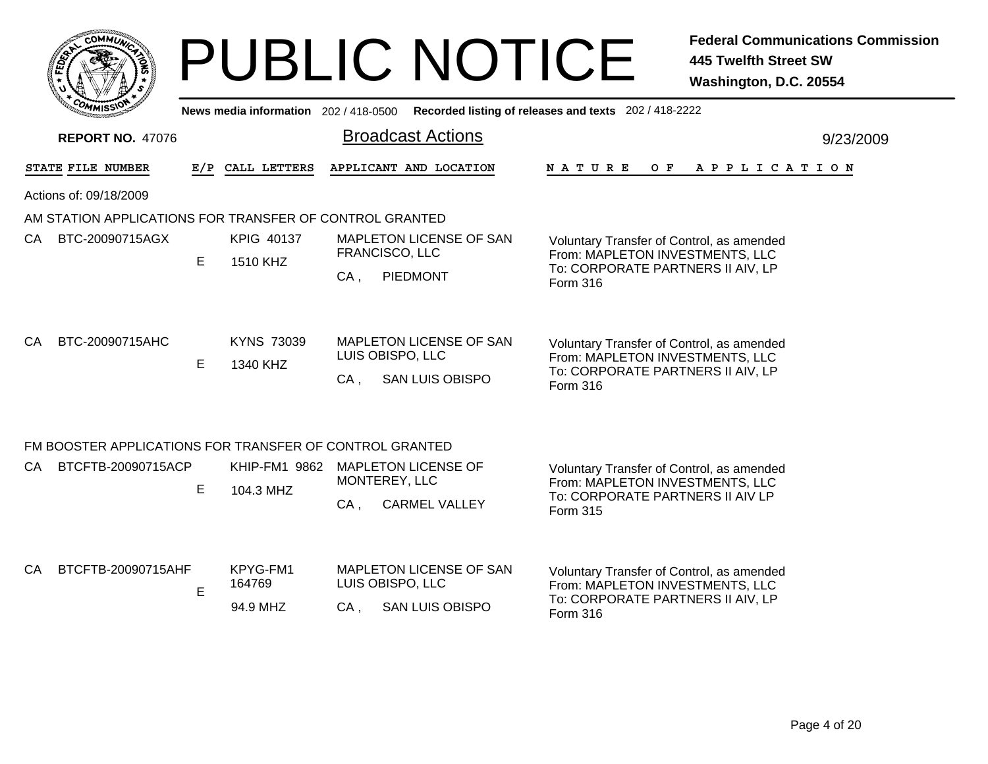|                                                         |     |                                   |        |                                   |                         | <b>PUBLIC NOTICE</b>                                                                    | <b>Federal Communications Commission</b><br><b>445 Twelfth Street SW</b><br>Washington, D.C. 20554 |
|---------------------------------------------------------|-----|-----------------------------------|--------|-----------------------------------|-------------------------|-----------------------------------------------------------------------------------------|----------------------------------------------------------------------------------------------------|
|                                                         |     |                                   |        |                                   |                         | News media information 202/418-0500 Recorded listing of releases and texts 202/418-2222 |                                                                                                    |
| <b>REPORT NO. 47076</b>                                 |     |                                   |        | <b>Broadcast Actions</b>          |                         |                                                                                         | 9/23/2009                                                                                          |
| STATE FILE NUMBER                                       | E/P | CALL LETTERS                      |        | APPLICANT AND LOCATION            |                         | <b>NATURE</b><br>$O$ $F$                                                                | A P P L I C A T I O N                                                                              |
| Actions of: 09/18/2009                                  |     |                                   |        |                                   |                         |                                                                                         |                                                                                                    |
| AM STATION APPLICATIONS FOR TRANSFER OF CONTROL GRANTED |     |                                   |        |                                   |                         |                                                                                         |                                                                                                    |
| CA<br>BTC-20090715AGX                                   |     | KPIG 40137                        |        |                                   | MAPLETON LICENSE OF SAN | Voluntary Transfer of Control, as amended                                               |                                                                                                    |
|                                                         | E   | 1510 KHZ                          | $CA$ , | FRANCISCO, LLC<br><b>PIEDMONT</b> |                         | From: MAPLETON INVESTMENTS, LLC<br>To: CORPORATE PARTNERS II AIV, LP                    |                                                                                                    |
|                                                         |     |                                   |        |                                   |                         | Form 316                                                                                |                                                                                                    |
| BTC-20090715AHC<br>CA.                                  |     | <b>KYNS 73039</b>                 |        |                                   | MAPLETON LICENSE OF SAN | Voluntary Transfer of Control, as amended                                               |                                                                                                    |
|                                                         | E   | 1340 KHZ                          |        | LUIS OBISPO, LLC                  |                         | From: MAPLETON INVESTMENTS, LLC<br>To: CORPORATE PARTNERS II AIV, LP                    |                                                                                                    |
|                                                         |     |                                   | $CA$ , | <b>SAN LUIS OBISPO</b>            |                         | Form 316                                                                                |                                                                                                    |
|                                                         |     |                                   |        |                                   |                         |                                                                                         |                                                                                                    |
| FM BOOSTER APPLICATIONS FOR TRANSFER OF CONTROL GRANTED |     |                                   |        |                                   |                         |                                                                                         |                                                                                                    |
| BTCFTB-20090715ACP<br>CA.                               |     | KHIP-FM1 9862 MAPLETON LICENSE OF |        | MONTEREY, LLC                     |                         | Voluntary Transfer of Control, as amended<br>From: MAPLETON INVESTMENTS, LLC            |                                                                                                    |
|                                                         | E   | 104.3 MHZ                         | CA.    | <b>CARMEL VALLEY</b>              |                         | To: CORPORATE PARTNERS II AIV LP<br>Form 315                                            |                                                                                                    |
|                                                         |     |                                   |        |                                   |                         |                                                                                         |                                                                                                    |
| BTCFTB-20090715AHF<br>CA.                               |     | KPYG-FM1                          |        |                                   | MAPLETON LICENSE OF SAN | Voluntary Transfer of Control, as amended                                               |                                                                                                    |
|                                                         | E   | 164769                            |        | LUIS OBISPO, LLC                  |                         | From: MAPLETON INVESTMENTS, LLC<br>To: CORPORATE PARTNERS II AIV, LP                    |                                                                                                    |
|                                                         |     | 94.9 MHZ                          | $CA$ . | <b>SAN LUIS OBISPO</b>            |                         | Form 316                                                                                |                                                                                                    |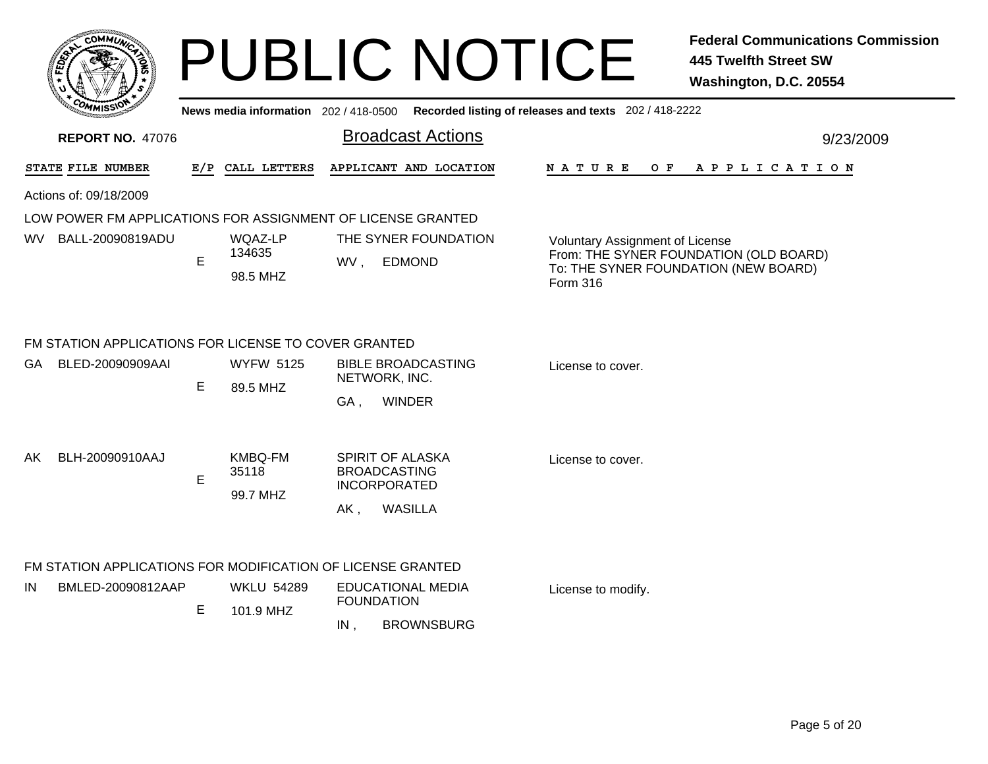|          | <b>MMUNT</b><br>CO <sub>1</sub> | ্ব |
|----------|---------------------------------|----|
| ÊĘ<br>ü, |                                 |    |
|          |                                 |    |
|          | CO <sub>MI</sub><br>MISS'       |    |

**News media information** 202 / 418-0500**Recorded listing of releases and texts** 202 / 418-2222

| <b>REPORT NO. 47076</b>                                                                |     |                                     | <b>Broadcast Actions</b>                      |                                                                                  |  |                                                                                                                                             |  |  |     |  |  |                       |  | 9/23/2009 |
|----------------------------------------------------------------------------------------|-----|-------------------------------------|-----------------------------------------------|----------------------------------------------------------------------------------|--|---------------------------------------------------------------------------------------------------------------------------------------------|--|--|-----|--|--|-----------------------|--|-----------|
| STATE FILE NUMBER                                                                      | E/P | CALL LETTERS                        |                                               | APPLICANT AND LOCATION                                                           |  | <b>NATURE</b>                                                                                                                               |  |  | O F |  |  | A P P L I C A T I O N |  |           |
| Actions of: 09/18/2009                                                                 |     |                                     |                                               |                                                                                  |  |                                                                                                                                             |  |  |     |  |  |                       |  |           |
| LOW POWER FM APPLICATIONS FOR ASSIGNMENT OF LICENSE GRANTED<br>WV.<br>BALL-20090819ADU | E   | WQAZ-LP<br>134635<br>98.5 MHZ       | WV,                                           | THE SYNER FOUNDATION<br><b>EDMOND</b>                                            |  | <b>Voluntary Assignment of License</b><br>From: THE SYNER FOUNDATION (OLD BOARD)<br>To: THE SYNER FOUNDATION (NEW BOARD)<br><b>Form 316</b> |  |  |     |  |  |                       |  |           |
| FM STATION APPLICATIONS FOR LICENSE TO COVER GRANTED                                   |     |                                     |                                               |                                                                                  |  |                                                                                                                                             |  |  |     |  |  |                       |  |           |
| GA<br>BLED-20090909AAI                                                                 | Е   | <b>WYFW 5125</b><br>89.5 MHZ        | GA,                                           | <b>BIBLE BROADCASTING</b><br>NETWORK, INC.<br><b>WINDER</b>                      |  | License to cover.                                                                                                                           |  |  |     |  |  |                       |  |           |
| BLH-20090910AAJ<br>AK                                                                  | E   | <b>KMBQ-FM</b><br>35118<br>99.7 MHZ | AK,                                           | SPIRIT OF ALASKA<br><b>BROADCASTING</b><br><b>INCORPORATED</b><br><b>WASILLA</b> |  | License to cover.                                                                                                                           |  |  |     |  |  |                       |  |           |
| FM STATION APPLICATIONS FOR MODIFICATION OF LICENSE GRANTED                            |     |                                     |                                               |                                                                                  |  |                                                                                                                                             |  |  |     |  |  |                       |  |           |
| IN<br>BMLED-20090812AAP                                                                |     | <b>WKLU 54289</b><br>101.9 MHZ      | <b>EDUCATIONAL MEDIA</b><br><b>FOUNDATION</b> |                                                                                  |  | License to modify.                                                                                                                          |  |  |     |  |  |                       |  |           |
|                                                                                        | E   |                                     | IN,                                           | <b>BROWNSBURG</b>                                                                |  |                                                                                                                                             |  |  |     |  |  |                       |  |           |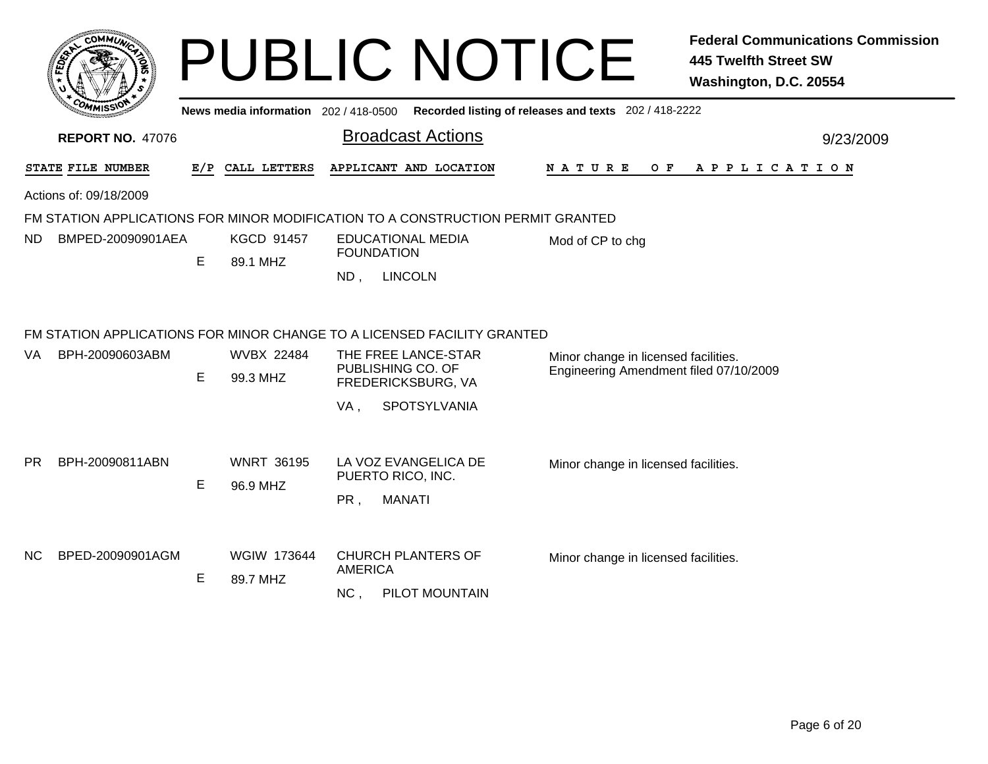|     |                         |     |                                     | <b>PUBLIC NOTICE</b>                                                                                                                                                    | <b>Federal Communications Commission</b><br><b>445 Twelfth Street SW</b><br>Washington, D.C. 20554 |
|-----|-------------------------|-----|-------------------------------------|-------------------------------------------------------------------------------------------------------------------------------------------------------------------------|----------------------------------------------------------------------------------------------------|
|     |                         |     | News media information 202/418-0500 |                                                                                                                                                                         | Recorded listing of releases and texts 202 / 418-2222                                              |
|     | <b>REPORT NO. 47076</b> |     |                                     | <b>Broadcast Actions</b>                                                                                                                                                | 9/23/2009                                                                                          |
|     | STATE FILE NUMBER       | E/P | CALL LETTERS                        | APPLICANT AND LOCATION                                                                                                                                                  | N A T U R E<br>O F<br>A P P L I C A T I O N                                                        |
|     | Actions of: 09/18/2009  |     |                                     |                                                                                                                                                                         |                                                                                                    |
| ND  | BMPED-20090901AEA       | E   | <b>KGCD 91457</b><br>89.1 MHZ       | FM STATION APPLICATIONS FOR MINOR MODIFICATION TO A CONSTRUCTION PERMIT GRANTED<br><b>EDUCATIONAL MEDIA</b><br><b>FOUNDATION</b><br><b>LINCOLN</b><br>$ND$ ,            | Mod of CP to chg                                                                                   |
| VA. | BPH-20090603ABM         | E   | <b>WVBX 22484</b><br>99.3 MHZ       | FM STATION APPLICATIONS FOR MINOR CHANGE TO A LICENSED FACILITY GRANTED<br>THE FREE LANCE-STAR<br>PUBLISHING CO. OF<br>FREDERICKSBURG, VA<br>VA,<br><b>SPOTSYLVANIA</b> | Minor change in licensed facilities.<br>Engineering Amendment filed 07/10/2009                     |
| PR. | BPH-20090811ABN         | E   | <b>WNRT 36195</b><br>96.9 MHZ       | LA VOZ EVANGELICA DE<br>PUERTO RICO, INC.<br>PR,<br><b>MANATI</b>                                                                                                       | Minor change in licensed facilities.                                                               |
| NC. | BPED-20090901AGM        | E   | WGIW 173644<br>89.7 MHZ             | <b>CHURCH PLANTERS OF</b><br><b>AMERICA</b><br>NC,<br>PILOT MOUNTAIN                                                                                                    | Minor change in licensed facilities.                                                               |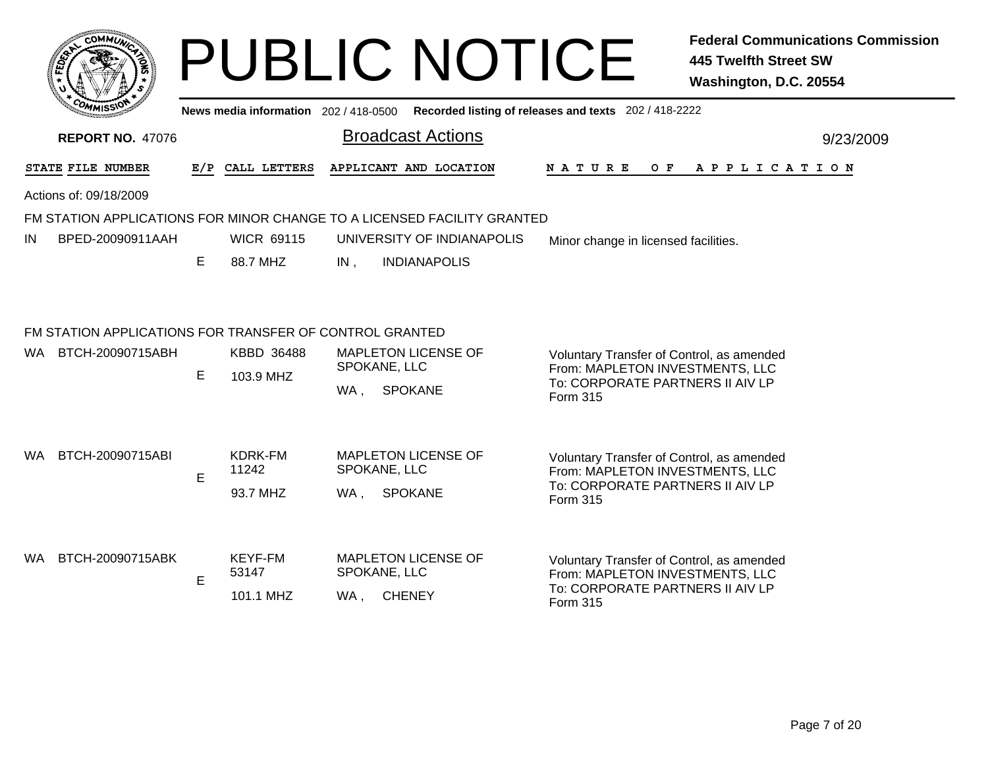|     |                                                                                |     |                                     | <b>PUBLIC NOTICE</b>                                                    | <b>Federal Communications Commission</b><br><b>445 Twelfth Street SW</b><br>Washington, D.C. 20554                           |
|-----|--------------------------------------------------------------------------------|-----|-------------------------------------|-------------------------------------------------------------------------|------------------------------------------------------------------------------------------------------------------------------|
|     |                                                                                |     | News media information 202/418-0500 |                                                                         | Recorded listing of releases and texts 202 / 418-2222                                                                        |
|     | <b>REPORT NO. 47076</b>                                                        |     |                                     | <b>Broadcast Actions</b>                                                | 9/23/2009                                                                                                                    |
|     | STATE FILE NUMBER                                                              | E/P | CALL LETTERS                        | APPLICANT AND LOCATION                                                  | N A T U R E<br>O F<br>APPLICATION                                                                                            |
|     | Actions of: 09/18/2009                                                         |     |                                     |                                                                         |                                                                                                                              |
|     |                                                                                |     |                                     | FM STATION APPLICATIONS FOR MINOR CHANGE TO A LICENSED FACILITY GRANTED |                                                                                                                              |
| IN  | BPED-20090911AAH                                                               |     | <b>WICR 69115</b>                   | UNIVERSITY OF INDIANAPOLIS                                              | Minor change in licensed facilities.                                                                                         |
|     |                                                                                | E   | 88.7 MHZ                            | <b>INDIANAPOLIS</b><br>IN,                                              |                                                                                                                              |
|     | FM STATION APPLICATIONS FOR TRANSFER OF CONTROL GRANTED<br>WA BTCH-20090715ABH | E   | KBBD 36488<br>103.9 MHZ             | <b>MAPLETON LICENSE OF</b><br>SPOKANE, LLC<br><b>SPOKANE</b><br>WA,     | Voluntary Transfer of Control, as amended<br>From: MAPLETON INVESTMENTS, LLC<br>To: CORPORATE PARTNERS II AIV LP<br>Form 315 |
| WA. | BTCH-20090715ABI                                                               | E   | KDRK-FM<br>11242<br>93.7 MHZ        | <b>MAPLETON LICENSE OF</b><br>SPOKANE, LLC<br><b>SPOKANE</b><br>WA      | Voluntary Transfer of Control, as amended<br>From: MAPLETON INVESTMENTS, LLC<br>To: CORPORATE PARTNERS II AIV LP<br>Form 315 |
| WA. | BTCH-20090715ABK                                                               | E   | KEYF-FM<br>53147<br>101.1 MHZ       | <b>MAPLETON LICENSE OF</b><br>SPOKANE, LLC<br>WA, CHENEY                | Voluntary Transfer of Control, as amended<br>From: MAPLETON INVESTMENTS, LLC<br>To: CORPORATE PARTNERS II AIV LP<br>Form 315 |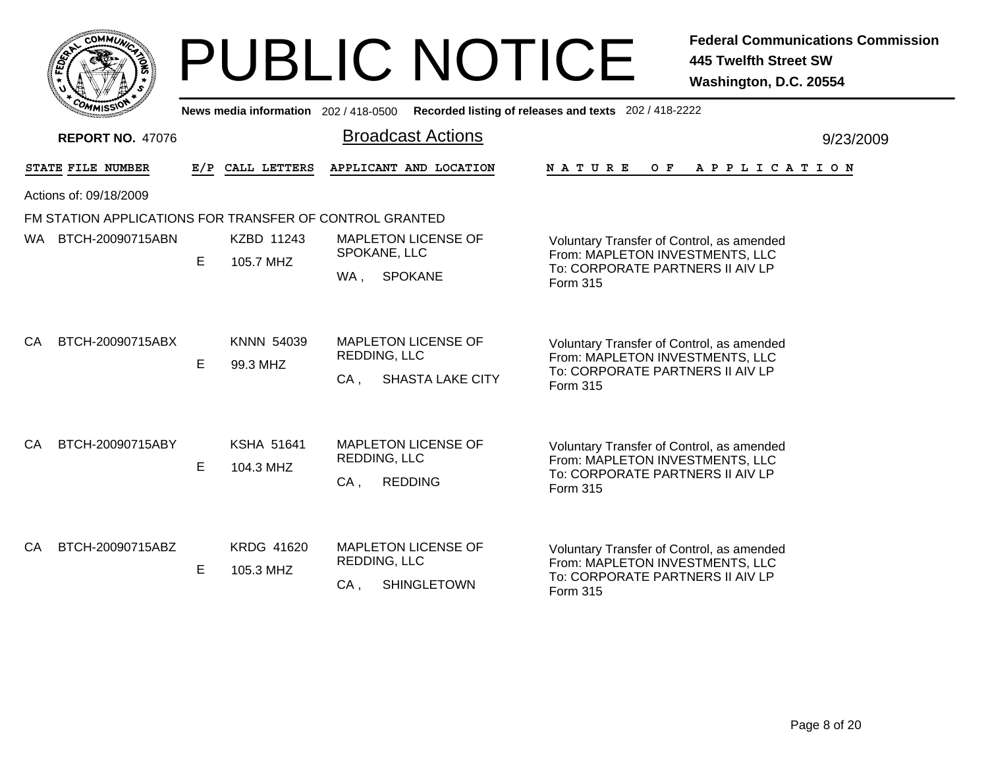|    |                  | <b>MMUNA</b><br>COI |   |  |
|----|------------------|---------------------|---|--|
| ຊ້ |                  |                     | ٥ |  |
|    |                  |                     |   |  |
|    | CO <sub>MI</sub> | MISS<br>muce        |   |  |

|    | <b>COMMISSION</b>                                       |   |                                | News media information 202 / 418-0500 Recorded listing of releases and texts 202 / 418-2222 |                                                                                                                              |           |
|----|---------------------------------------------------------|---|--------------------------------|---------------------------------------------------------------------------------------------|------------------------------------------------------------------------------------------------------------------------------|-----------|
|    | <b>REPORT NO. 47076</b>                                 |   |                                | <b>Broadcast Actions</b>                                                                    |                                                                                                                              | 9/23/2009 |
|    | STATE FILE NUMBER                                       |   | E/P CALL LETTERS               | APPLICANT AND LOCATION                                                                      | NATURE<br>O F<br>A P P L I C A T I O N                                                                                       |           |
|    | Actions of: 09/18/2009                                  |   |                                |                                                                                             |                                                                                                                              |           |
|    | FM STATION APPLICATIONS FOR TRANSFER OF CONTROL GRANTED |   |                                |                                                                                             |                                                                                                                              |           |
|    | WA BTCH-20090715ABN                                     | E | KZBD 11243<br>105.7 MHZ        | <b>MAPLETON LICENSE OF</b><br>SPOKANE, LLC<br><b>SPOKANE</b><br>WA,                         | Voluntary Transfer of Control, as amended<br>From: MAPLETON INVESTMENTS, LLC<br>To: CORPORATE PARTNERS II AIV LP<br>Form 315 |           |
| CA | BTCH-20090715ABX                                        | E | <b>KNNN 54039</b><br>99.3 MHZ  | <b>MAPLETON LICENSE OF</b><br><b>REDDING, LLC</b><br><b>SHASTA LAKE CITY</b><br>CA,         | Voluntary Transfer of Control, as amended<br>From: MAPLETON INVESTMENTS, LLC<br>To: CORPORATE PARTNERS II AIV LP<br>Form 315 |           |
| CA | BTCH-20090715ABY                                        | Е | <b>KSHA 51641</b><br>104.3 MHZ | <b>MAPLETON LICENSE OF</b><br><b>REDDING, LLC</b><br>$CA$ ,<br><b>REDDING</b>               | Voluntary Transfer of Control, as amended<br>From: MAPLETON INVESTMENTS, LLC<br>To: CORPORATE PARTNERS II AIV LP<br>Form 315 |           |
| СA | BTCH-20090715ABZ                                        | E | <b>KRDG 41620</b><br>105.3 MHZ | <b>MAPLETON LICENSE OF</b><br><b>REDDING, LLC</b><br><b>SHINGLETOWN</b><br>$CA$ ,           | Voluntary Transfer of Control, as amended<br>From: MAPLETON INVESTMENTS, LLC<br>To: CORPORATE PARTNERS II AIV LP<br>Form 315 |           |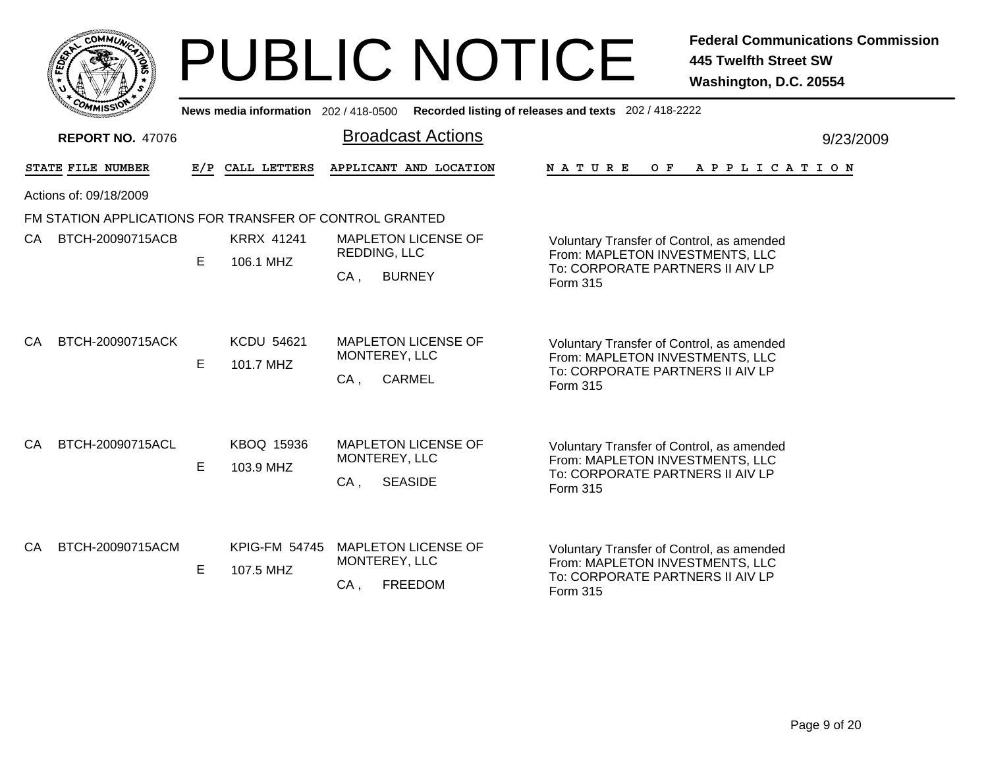|    |                  | <b>MMUNA</b><br>COI |   |  |
|----|------------------|---------------------|---|--|
| ຊ້ |                  |                     | ٥ |  |
|    |                  |                     |   |  |
|    | CO <sub>MI</sub> | MISS<br>muce        |   |  |

|    | <b>COMMISSION</b>                                       |    | News media information 202/418-0500 |                                                                              | Recorded listing of releases and texts 202 / 418-2222                                                                               |           |
|----|---------------------------------------------------------|----|-------------------------------------|------------------------------------------------------------------------------|-------------------------------------------------------------------------------------------------------------------------------------|-----------|
|    | <b>REPORT NO. 47076</b>                                 |    |                                     | <b>Broadcast Actions</b>                                                     |                                                                                                                                     | 9/23/2009 |
|    | <b>STATE FILE NUMBER</b>                                |    | E/P CALL LETTERS                    | APPLICANT AND LOCATION                                                       | A P P L I C A T I O N<br>N A T U R E<br>O F                                                                                         |           |
|    | Actions of: 09/18/2009                                  |    |                                     |                                                                              |                                                                                                                                     |           |
|    | FM STATION APPLICATIONS FOR TRANSFER OF CONTROL GRANTED |    |                                     |                                                                              |                                                                                                                                     |           |
| CA | BTCH-20090715ACB                                        | E  | <b>KRRX 41241</b><br>106.1 MHZ      | <b>MAPLETON LICENSE OF</b><br><b>REDDING, LLC</b><br><b>BURNEY</b><br>$CA$ , | Voluntary Transfer of Control, as amended<br>From: MAPLETON INVESTMENTS, LLC<br>To: CORPORATE PARTNERS II AIV LP<br>Form 315        |           |
| СA | BTCH-20090715ACK                                        | E  | <b>KCDU 54621</b><br>101.7 MHZ      | <b>MAPLETON LICENSE OF</b><br>MONTEREY, LLC<br><b>CARMEL</b><br>$CA$ ,       | Voluntary Transfer of Control, as amended<br>From: MAPLETON INVESTMENTS, LLC<br>To: CORPORATE PARTNERS II AIV LP<br>Form 315        |           |
| CA | BTCH-20090715ACL                                        | E. | KBOQ 15936<br>103.9 MHZ             | <b>MAPLETON LICENSE OF</b><br>MONTEREY, LLC<br>$CA$ ,<br><b>SEASIDE</b>      | Voluntary Transfer of Control, as amended<br>From: MAPLETON INVESTMENTS, LLC<br>To: CORPORATE PARTNERS II AIV LP<br>Form 315        |           |
| CA | BTCH-20090715ACM                                        | E  | <b>KPIG-FM 54745</b><br>107.5 MHZ   | <b>MAPLETON LICENSE OF</b><br>MONTEREY, LLC<br><b>FREEDOM</b><br>CA,         | Voluntary Transfer of Control, as amended<br>From: MAPLETON INVESTMENTS, LLC<br>To: CORPORATE PARTNERS II AIV LP<br><b>Form 315</b> |           |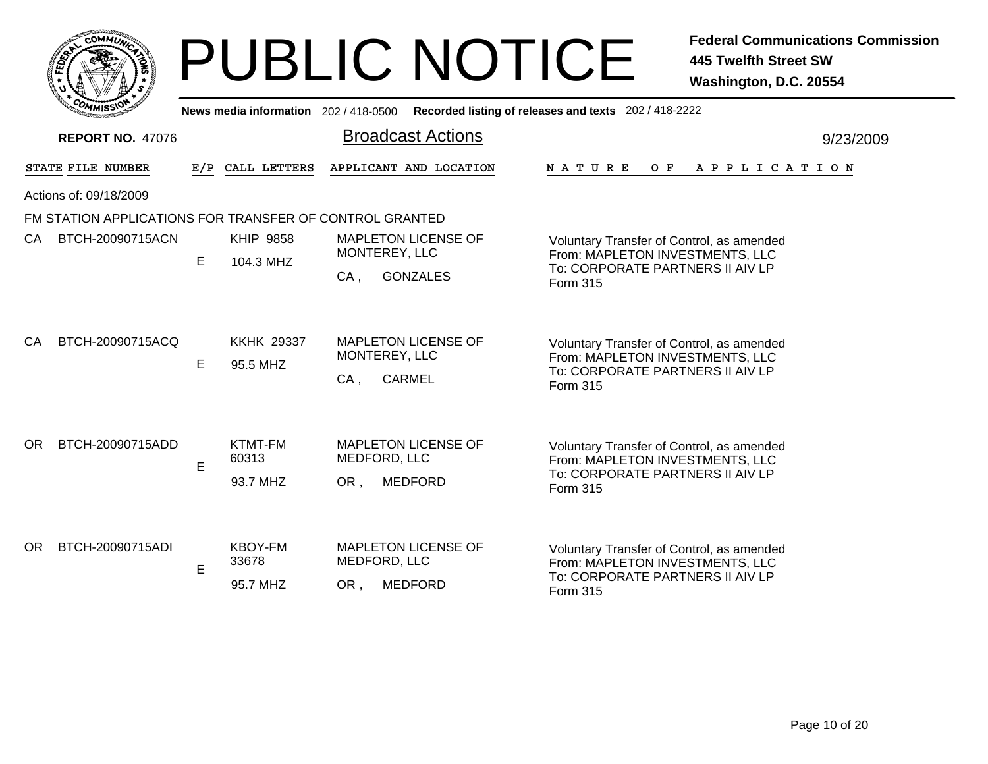|    | $c_{\mathbf{O}}$ | <b>MMUNT</b>             | ¢ |   |
|----|------------------|--------------------------|---|---|
| ສັ |                  |                          | ٥ | る |
|    |                  |                          |   |   |
|    | CO <sub>M</sub>  | MISS <sup>\</sup><br>mua |   |   |

|     | <b>EOMMISSION</b>                                       |     | News media information 202/418-0500 |                                                                     | Recorded listing of releases and texts 202 / 418-2222                                                                        |  |  |
|-----|---------------------------------------------------------|-----|-------------------------------------|---------------------------------------------------------------------|------------------------------------------------------------------------------------------------------------------------------|--|--|
|     | <b>REPORT NO. 47076</b>                                 |     |                                     | <b>Broadcast Actions</b>                                            | 9/23/2009                                                                                                                    |  |  |
|     | STATE FILE NUMBER                                       | E/P | CALL LETTERS                        | APPLICANT AND LOCATION                                              | NATURE<br>O F<br>A P P L I C A T I O N                                                                                       |  |  |
|     | Actions of: 09/18/2009                                  |     |                                     |                                                                     |                                                                                                                              |  |  |
|     | FM STATION APPLICATIONS FOR TRANSFER OF CONTROL GRANTED |     |                                     |                                                                     |                                                                                                                              |  |  |
| CA  | BTCH-20090715ACN                                        | E   | <b>KHIP 9858</b><br>104.3 MHZ       | <b>MAPLETON LICENSE OF</b><br>MONTEREY, LLC                         | Voluntary Transfer of Control, as amended<br>From: MAPLETON INVESTMENTS, LLC                                                 |  |  |
|     |                                                         |     |                                     | <b>GONZALES</b><br>$CA$ ,                                           | To: CORPORATE PARTNERS II AIV LP<br>Form 315                                                                                 |  |  |
| CA  | BTCH-20090715ACQ                                        | E   | <b>KKHK 29337</b><br>95.5 MHZ       | <b>MAPLETON LICENSE OF</b><br>MONTEREY, LLC<br>CA,<br><b>CARMEL</b> | Voluntary Transfer of Control, as amended<br>From: MAPLETON INVESTMENTS, LLC<br>To: CORPORATE PARTNERS II AIV LP<br>Form 315 |  |  |
| OR. | BTCH-20090715ADD                                        | E   | KTMT-FM<br>60313<br>93.7 MHZ        | <b>MAPLETON LICENSE OF</b><br>MEDFORD, LLC<br><b>MEDFORD</b><br>OR. | Voluntary Transfer of Control, as amended<br>From: MAPLETON INVESTMENTS, LLC<br>To: CORPORATE PARTNERS II AIV LP<br>Form 315 |  |  |
| OR. | BTCH-20090715ADI                                        | E   | <b>KBOY-FM</b><br>33678<br>95.7 MHZ | <b>MAPLETON LICENSE OF</b><br>MEDFORD, LLC<br><b>MEDFORD</b><br>OR, | Voluntary Transfer of Control, as amended<br>From: MAPLETON INVESTMENTS, LLC<br>To: CORPORATE PARTNERS II AIV LP<br>Form 315 |  |  |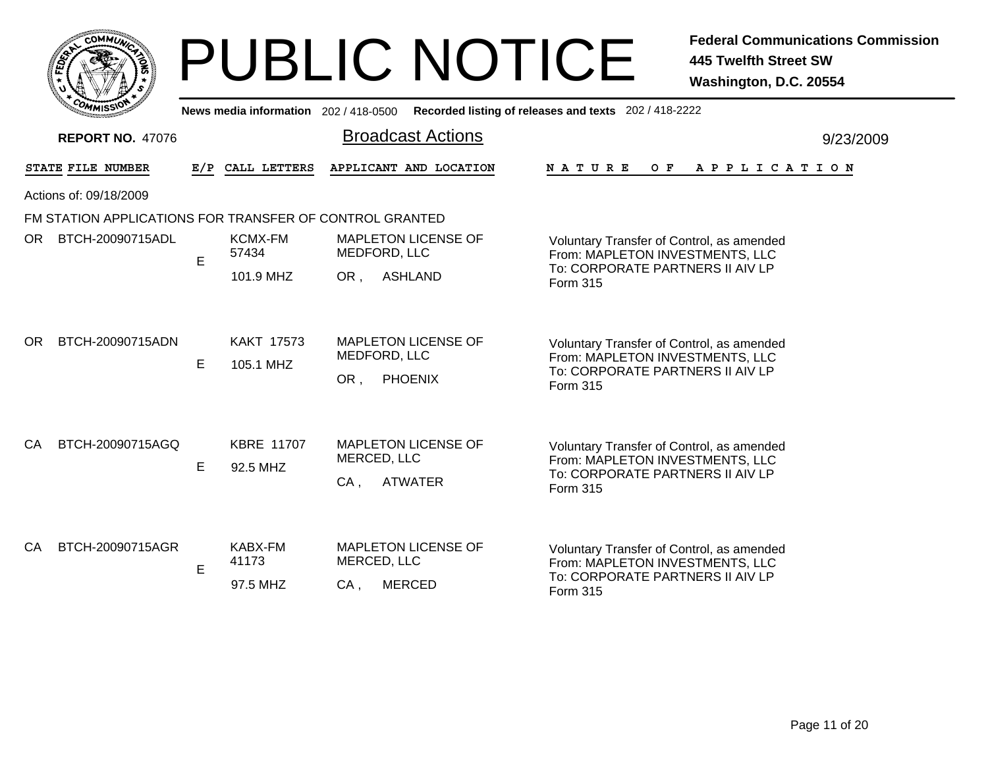|    | <b>MMUNT</b><br>COI<br>¢ |   |
|----|--------------------------|---|
| និ |                          | 磊 |
|    |                          |   |
|    | COM<br>MISS<br>mua       |   |

|      | <b>COMMISSION</b>                                       |     | News media information 202 / 418-0500 |                                                                       | Recorded listing of releases and texts 202 / 418-2222                                                                        |  |
|------|---------------------------------------------------------|-----|---------------------------------------|-----------------------------------------------------------------------|------------------------------------------------------------------------------------------------------------------------------|--|
|      | <b>REPORT NO. 47076</b>                                 |     |                                       | <b>Broadcast Actions</b>                                              | 9/23/2009                                                                                                                    |  |
|      | STATE FILE NUMBER                                       | E/P | CALL LETTERS                          | APPLICANT AND LOCATION                                                | <b>NATURE</b><br>O F<br>A P P L I C A T I O N                                                                                |  |
|      | Actions of: 09/18/2009                                  |     |                                       |                                                                       |                                                                                                                              |  |
|      | FM STATION APPLICATIONS FOR TRANSFER OF CONTROL GRANTED |     |                                       |                                                                       |                                                                                                                              |  |
| OR . | BTCH-20090715ADL                                        | E   | <b>KCMX-FM</b><br>57434               | <b>MAPLETON LICENSE OF</b><br>MEDFORD, LLC                            | Voluntary Transfer of Control, as amended<br>From: MAPLETON INVESTMENTS, LLC                                                 |  |
|      |                                                         |     | 101.9 MHZ                             | <b>ASHLAND</b><br>OR,                                                 | To: CORPORATE PARTNERS II AIV LP<br>Form 315                                                                                 |  |
| OR.  | BTCH-20090715ADN                                        | E   | <b>KAKT 17573</b><br>105.1 MHZ        | <b>MAPLETON LICENSE OF</b><br>MEDFORD, LLC<br><b>PHOENIX</b><br>OR,   | Voluntary Transfer of Control, as amended<br>From: MAPLETON INVESTMENTS, LLC<br>To: CORPORATE PARTNERS II AIV LP<br>Form 315 |  |
| CA.  | BTCH-20090715AGQ                                        | E   | <b>KBRE 11707</b><br>92.5 MHZ         | <b>MAPLETON LICENSE OF</b><br>MERCED, LLC<br><b>ATWATER</b><br>$CA$ , | Voluntary Transfer of Control, as amended<br>From: MAPLETON INVESTMENTS, LLC<br>To: CORPORATE PARTNERS II AIV LP<br>Form 315 |  |
| CA   | BTCH-20090715AGR                                        | E   | <b>KABX-FM</b><br>41173<br>97.5 MHZ   | <b>MAPLETON LICENSE OF</b><br>MERCED, LLC<br><b>MERCED</b><br>$CA$ ,  | Voluntary Transfer of Control, as amended<br>From: MAPLETON INVESTMENTS, LLC<br>To: CORPORATE PARTNERS II AIV LP<br>Form 315 |  |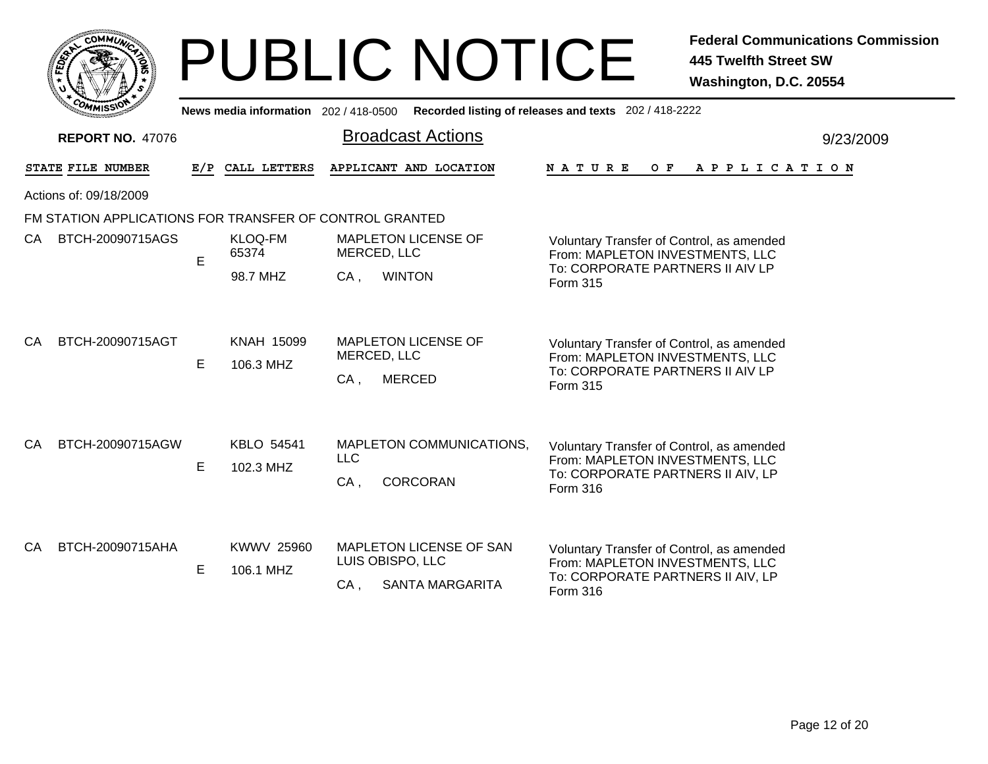|     |                 | <b>MMUNA</b><br>CO <sub>1</sub> | ¢. |        |
|-----|-----------------|---------------------------------|----|--------|
| ឆ្ន |                 |                                 |    | 2<br>磊 |
|     |                 |                                 |    |        |
|     | CO <sub>M</sub> | MISS <sup>\</sup><br>mua        |    |        |

Broadcast Actions 9/23/2009**News media information** 202 / 418-0500 **Recorded listing of releases and texts** 202 / 418-2222 **REPORT NO.** 47076STATE FILE NUMBER **FILE NUMBER E/P CALL LETTERS APPLICANT AND LOCATION N A T U R E O F A P P L I C A T I O N** Actions of: 09/18/2009FM STATION APPLICATIONS FOR TRANSFER OF CONTROL GRANTED98.7 MHZ , WINTON ECA. Voluntary Transfer of Control, as amended From: MAPLETON INVESTMENTS, LLC To: CORPORATE PARTNERS II AIV LPForm 315MAPLETON LICENSE OFMERCED, LLC KLOQ-FM65374CA BTCH-20090715AGS , MERCED E 106.3 MHZCA. Voluntary Transfer of Control, as amended From: MAPLETON INVESTMENTS, LLC To: CORPORATE PARTNERS II AIV LPForm 315MAPLETON LICENSE OFMERCED, LLC CA BTCH-20090715AGT KNAH 15099 , CORCORAN E 102.3 MHZCA, Voluntary Transfer of Control, as amended From: MAPLETON INVESTMENTS, LLC To: CORPORATE PARTNERS II AIV, LP Form 316MAPLETON COMMUNICATIONS, LLCCA BTCH-20090715AGW KBLO 54541 , SANTA MARGARITA E 106.1 MHZCA, Voluntary Transfer of Control, as amended From: MAPLETON INVESTMENTS, LLC To: CORPORATE PARTNERS II AIV, LP Form 316MAPLETON LICENSE OF SANLUIS OBISPO, LLC CA BTCH-20090715AHA KWWV 25960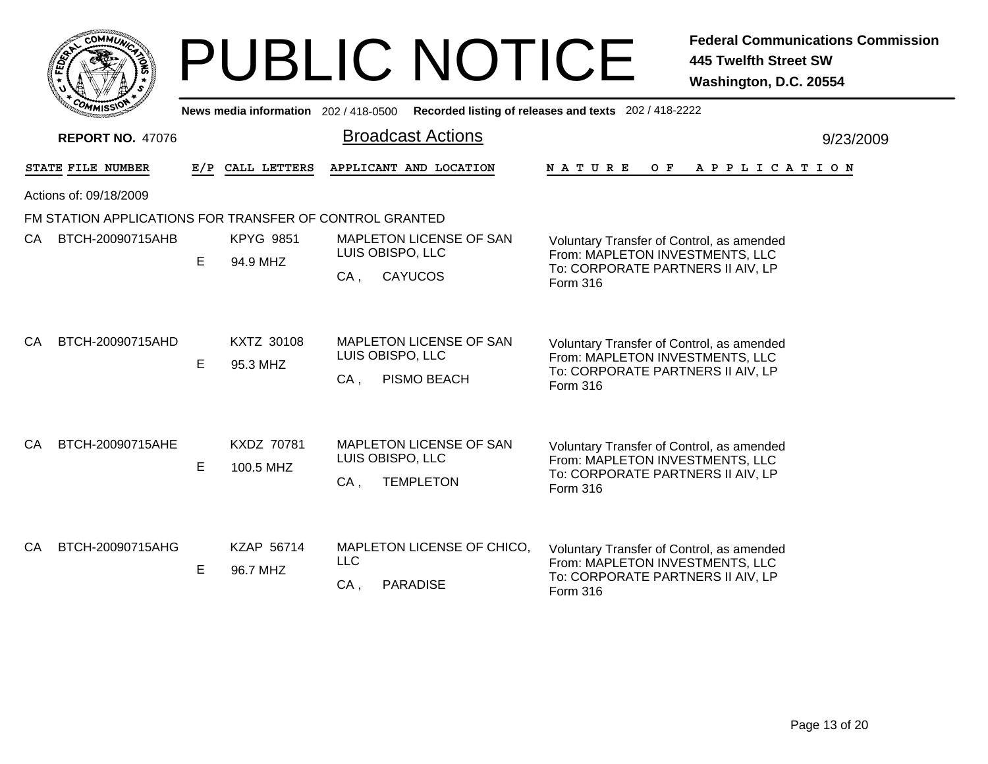| <b>COMMI</b>                                            |                                       |                                     | <b>PUBLIC NOTICE</b>                                                      | <b>Federal Communications Commission</b><br><b>445 Twelfth Street SW</b><br>Washington, D.C. 20554                            |  |  |  |  |  |  |
|---------------------------------------------------------|---------------------------------------|-------------------------------------|---------------------------------------------------------------------------|-------------------------------------------------------------------------------------------------------------------------------|--|--|--|--|--|--|
|                                                         |                                       | News media information 202/418-0500 |                                                                           | Recorded listing of releases and texts 202 / 418-2222                                                                         |  |  |  |  |  |  |
| <b>REPORT NO. 47076</b>                                 | <b>Broadcast Actions</b><br>9/23/2009 |                                     |                                                                           |                                                                                                                               |  |  |  |  |  |  |
| STATE FILE NUMBER                                       | E/P                                   | CALL LETTERS                        | APPLICANT AND LOCATION                                                    | N A T U R E<br>O F<br>A P P L I C A T I O N                                                                                   |  |  |  |  |  |  |
| Actions of: 09/18/2009                                  |                                       |                                     |                                                                           |                                                                                                                               |  |  |  |  |  |  |
| FM STATION APPLICATIONS FOR TRANSFER OF CONTROL GRANTED |                                       |                                     |                                                                           |                                                                                                                               |  |  |  |  |  |  |
| CA BTCH-20090715AHB                                     | E                                     | <b>KPYG 9851</b><br>94.9 MHZ        | MAPLETON LICENSE OF SAN<br>LUIS OBISPO, LLC<br><b>CAYUCOS</b><br>CA.      | Voluntary Transfer of Control, as amended<br>From: MAPLETON INVESTMENTS, LLC<br>To: CORPORATE PARTNERS II AIV, LP<br>Form 316 |  |  |  |  |  |  |
| BTCH-20090715AHD<br>CA                                  | E.                                    | KXTZ 30108<br>95.3 MHZ              | MAPLETON LICENSE OF SAN<br>LUIS OBISPO, LLC<br>PISMO BEACH<br>$CA$ ,      | Voluntary Transfer of Control, as amended<br>From: MAPLETON INVESTMENTS, LLC<br>To: CORPORATE PARTNERS II AIV, LP<br>Form 316 |  |  |  |  |  |  |
| BTCH-20090715AHE<br>CA.                                 | E.                                    | KXDZ 70781<br>100.5 MHZ             | MAPLETON LICENSE OF SAN<br>LUIS OBISPO, LLC<br>$CA$ ,<br><b>TEMPLETON</b> | Voluntary Transfer of Control, as amended<br>From: MAPLETON INVESTMENTS, LLC<br>To: CORPORATE PARTNERS II AIV, LP<br>Form 316 |  |  |  |  |  |  |
| BTCH-20090715AHG<br>CA                                  | Е                                     | KZAP 56714<br>96.7 MHZ              | MAPLETON LICENSE OF CHICO,<br><b>LLC</b><br>$CA$ ,<br><b>PARADISE</b>     | Voluntary Transfer of Control, as amended<br>From: MAPLETON INVESTMENTS, LLC<br>To: CORPORATE PARTNERS II AIV, LP<br>Form 316 |  |  |  |  |  |  |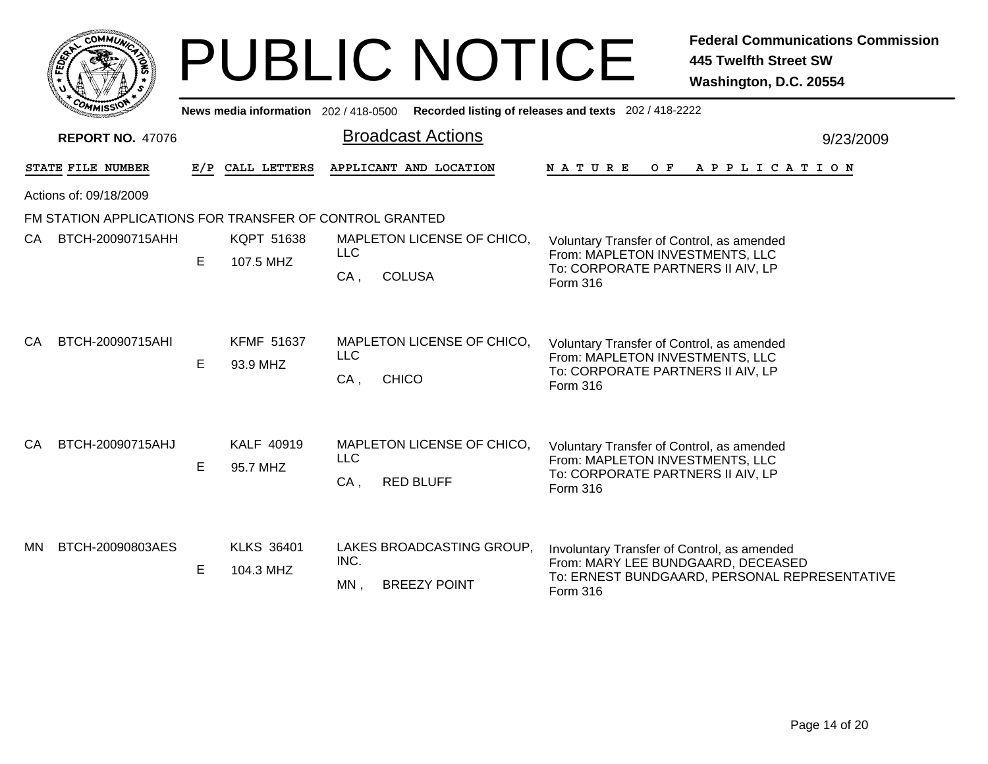|                                                         |   |                                       | <b>PUBLIC NOTICE</b>                                               | <b>Federal Communications Commission</b><br><b>445 Twelfth Street SW</b><br>Washington, D.C. 20554                                             |
|---------------------------------------------------------|---|---------------------------------------|--------------------------------------------------------------------|------------------------------------------------------------------------------------------------------------------------------------------------|
|                                                         |   | News media information 202 / 418-0500 |                                                                    | Recorded listing of releases and texts 202 / 418-2222                                                                                          |
| <b>REPORT NO. 47076</b>                                 |   |                                       | <b>Broadcast Actions</b>                                           | 9/23/2009                                                                                                                                      |
| STATE FILE NUMBER                                       |   | E/P CALL LETTERS                      | APPLICANT AND LOCATION                                             | N A T U R E<br>O F<br>A P P L I C A T I O N                                                                                                    |
| Actions of: 09/18/2009                                  |   |                                       |                                                                    |                                                                                                                                                |
| FM STATION APPLICATIONS FOR TRANSFER OF CONTROL GRANTED |   |                                       |                                                                    |                                                                                                                                                |
| BTCH-20090715AHH<br>CA.                                 | Е | KQPT 51638<br>107.5 MHZ               | MAPLETON LICENSE OF CHICO,<br><b>LLC</b><br>CA,<br><b>COLUSA</b>   | Voluntary Transfer of Control, as amended<br>From: MAPLETON INVESTMENTS, LLC<br>To: CORPORATE PARTNERS II AIV, LP<br>Form 316                  |
| BTCH-20090715AHI<br>CA.                                 | E | <b>KFMF 51637</b><br>93.9 MHZ         | MAPLETON LICENSE OF CHICO,<br><b>LLC</b><br><b>CHICO</b><br>$CA$ , | Voluntary Transfer of Control, as amended<br>From: MAPLETON INVESTMENTS, LLC<br>To: CORPORATE PARTNERS II AIV, LP<br>Form 316                  |
| BTCH-20090715AHJ<br>CA.                                 | Е | KALF 40919<br>95.7 MHZ                | MAPLETON LICENSE OF CHICO,<br>LLC<br>CA,<br><b>RED BLUFF</b>       | Voluntary Transfer of Control, as amended<br>From: MAPLETON INVESTMENTS, LLC<br>To: CORPORATE PARTNERS II AIV, LP<br>Form 316                  |
| BTCH-20090803AES<br>MN.                                 | E | <b>KLKS 36401</b><br>104.3 MHZ        | LAKES BROADCASTING GROUP.<br>INC.<br>$MN$ ,<br><b>BREEZY POINT</b> | Involuntary Transfer of Control, as amended<br>From: MARY LEE BUNDGAARD, DECEASED<br>To: ERNEST BUNDGAARD, PERSONAL REPRESENTATIVE<br>Form 316 |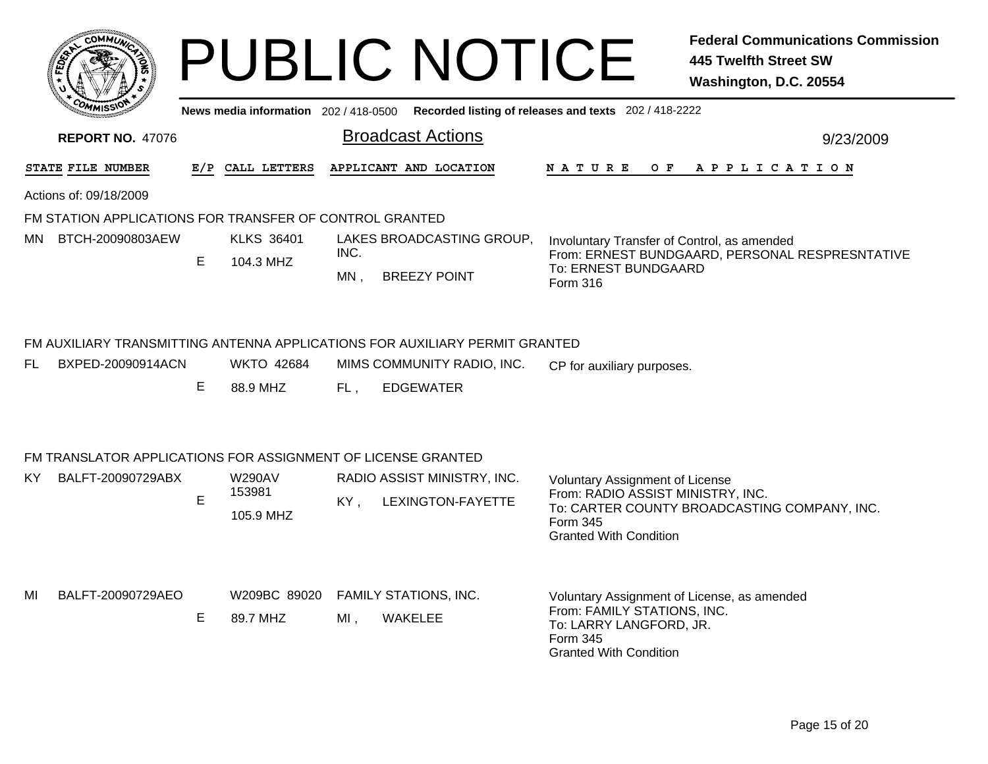|                                                                                                |                                                              |    |                          |        | <b>PUBLIC NOTICE</b>                                                        |                                                                                                                                                    | <b>Federal Communications Commission</b><br><b>445 Twelfth Street SW</b><br>Washington, D.C. 20554 |  |  |
|------------------------------------------------------------------------------------------------|--------------------------------------------------------------|----|--------------------------|--------|-----------------------------------------------------------------------------|----------------------------------------------------------------------------------------------------------------------------------------------------|----------------------------------------------------------------------------------------------------|--|--|
| Recorded listing of releases and texts 202 / 418-2222<br>News media information 202 / 418-0500 |                                                              |    |                          |        |                                                                             |                                                                                                                                                    |                                                                                                    |  |  |
|                                                                                                | <b>REPORT NO. 47076</b>                                      |    |                          |        | <b>Broadcast Actions</b>                                                    |                                                                                                                                                    | 9/23/2009                                                                                          |  |  |
|                                                                                                | STATE FILE NUMBER                                            |    | E/P CALL LETTERS         |        | APPLICANT AND LOCATION                                                      | N A T U R E                                                                                                                                        | OF APPLICATION                                                                                     |  |  |
|                                                                                                | Actions of: 09/18/2009                                       |    |                          |        |                                                                             |                                                                                                                                                    |                                                                                                    |  |  |
|                                                                                                | FM STATION APPLICATIONS FOR TRANSFER OF CONTROL GRANTED      |    |                          |        |                                                                             |                                                                                                                                                    |                                                                                                    |  |  |
| MN.                                                                                            | BTCH-20090803AEW                                             |    | <b>KLKS 36401</b>        | INC.   | LAKES BROADCASTING GROUP,                                                   | Involuntary Transfer of Control, as amended                                                                                                        | From: ERNEST BUNDGAARD, PERSONAL RESPRESNTATIVE                                                    |  |  |
|                                                                                                |                                                              | E. | 104.3 MHZ                | $MN$ , | <b>BREEZY POINT</b>                                                         | To: ERNEST BUNDGAARD<br>Form 316                                                                                                                   |                                                                                                    |  |  |
|                                                                                                |                                                              |    |                          |        | FM AUXILIARY TRANSMITTING ANTENNA APPLICATIONS FOR AUXILIARY PERMIT GRANTED |                                                                                                                                                    |                                                                                                    |  |  |
| FL                                                                                             | BXPED-20090914ACN                                            |    | <b>WKTO 42684</b>        |        | MIMS COMMUNITY RADIO, INC.                                                  | CP for auxiliary purposes.                                                                                                                         |                                                                                                    |  |  |
|                                                                                                |                                                              | Е  | 88.9 MHZ                 | FL,    | <b>EDGEWATER</b>                                                            |                                                                                                                                                    |                                                                                                    |  |  |
|                                                                                                | FM TRANSLATOR APPLICATIONS FOR ASSIGNMENT OF LICENSE GRANTED |    |                          |        |                                                                             |                                                                                                                                                    |                                                                                                    |  |  |
| ΚY                                                                                             | BALFT-20090729ABX                                            |    | <b>W290AV</b>            |        | RADIO ASSIST MINISTRY, INC.                                                 | Voluntary Assignment of License                                                                                                                    |                                                                                                    |  |  |
|                                                                                                |                                                              | E  | 153981<br>105.9 MHZ      | KY,    | LEXINGTON-FAYETTE                                                           | From: RADIO ASSIST MINISTRY, INC.<br>Form 345<br><b>Granted With Condition</b>                                                                     | To: CARTER COUNTY BROADCASTING COMPANY, INC.                                                       |  |  |
| MI                                                                                             | BALFT-20090729AEO                                            | Е  | W209BC 89020<br>89.7 MHZ | MI,    | <b>FAMILY STATIONS, INC.</b><br>WAKELEE                                     | Voluntary Assignment of License, as amended<br>From: FAMILY STATIONS, INC.<br>To: LARRY LANGFORD, JR.<br>Form 345<br><b>Granted With Condition</b> |                                                                                                    |  |  |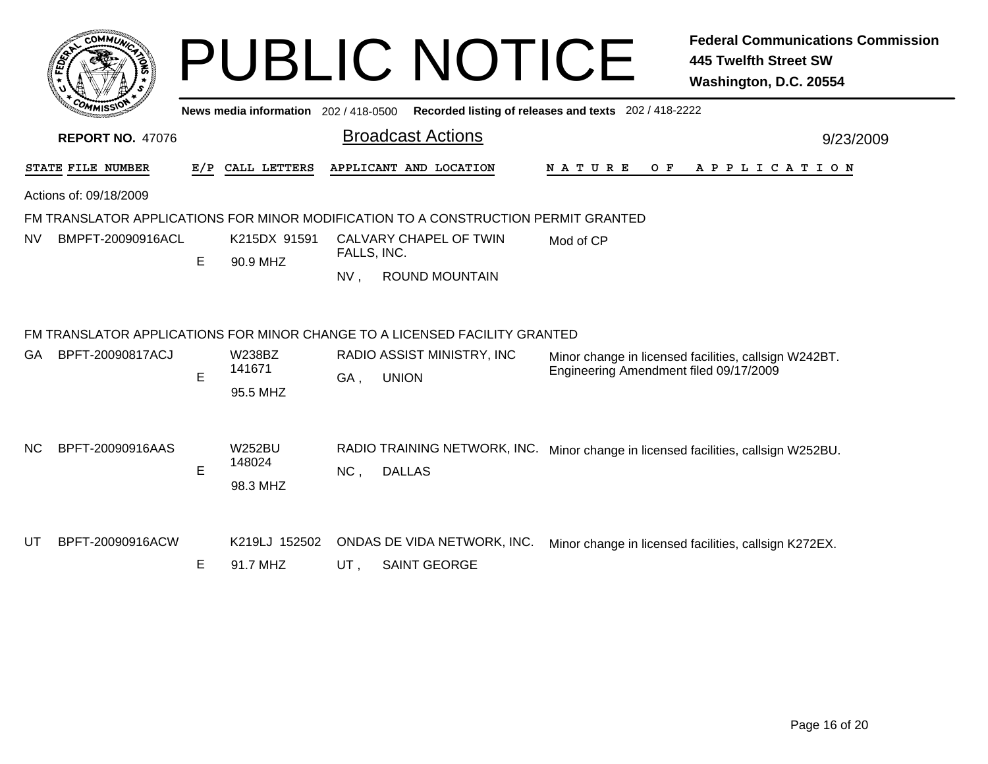|           | сомми                   |     |                                       | <b>PUBLIC NOTICE</b>                                                                                       |                                                       | <b>Federal Communications Commission</b><br><b>445 Twelfth Street SW</b><br>Washington, D.C. 20554 |
|-----------|-------------------------|-----|---------------------------------------|------------------------------------------------------------------------------------------------------------|-------------------------------------------------------|----------------------------------------------------------------------------------------------------|
|           |                         |     | News media information 202 / 418-0500 |                                                                                                            | Recorded listing of releases and texts 202 / 418-2222 |                                                                                                    |
|           | <b>REPORT NO. 47076</b> |     |                                       | <b>Broadcast Actions</b>                                                                                   |                                                       | 9/23/2009                                                                                          |
|           | STATE FILE NUMBER       | E/P | CALL LETTERS                          | APPLICANT AND LOCATION                                                                                     | <b>NATURE</b><br>O F                                  | A P P L I C A T I O N                                                                              |
|           | Actions of: 09/18/2009  |     |                                       |                                                                                                            |                                                       |                                                                                                    |
|           |                         |     |                                       | FM TRANSLATOR APPLICATIONS FOR MINOR MODIFICATION TO A CONSTRUCTION PERMIT GRANTED                         |                                                       |                                                                                                    |
| NV        | BMPFT-20090916ACL       | E   | K215DX 91591<br>90.9 MHZ              | CALVARY CHAPEL OF TWIN<br>FALLS, INC.<br><b>ROUND MOUNTAIN</b><br>NV <sub>1</sub>                          | Mod of CP                                             |                                                                                                    |
|           |                         |     |                                       | FM TRANSLATOR APPLICATIONS FOR MINOR CHANGE TO A LICENSED FACILITY GRANTED                                 |                                                       |                                                                                                    |
| GA.       | BPFT-20090817ACJ        | E   | <b>W238BZ</b><br>141671<br>95.5 MHZ   | RADIO ASSIST MINISTRY, INC<br>GA,<br><b>UNION</b>                                                          | Engineering Amendment filed 09/17/2009                | Minor change in licensed facilities, callsign W242BT.                                              |
| <b>NC</b> | BPFT-20090916AAS        | E   | <b>W252BU</b><br>148024<br>98.3 MHZ   | RADIO TRAINING NETWORK, INC. Minor change in licensed facilities, callsign W252BU.<br>NC,<br><b>DALLAS</b> |                                                       |                                                                                                    |
| UT        | BPFT-20090916ACW        | E   | K219LJ 152502<br>91.7 MHZ             | ONDAS DE VIDA NETWORK, INC.<br><b>SAINT GEORGE</b><br>UT.                                                  |                                                       | Minor change in licensed facilities, callsign K272EX.                                              |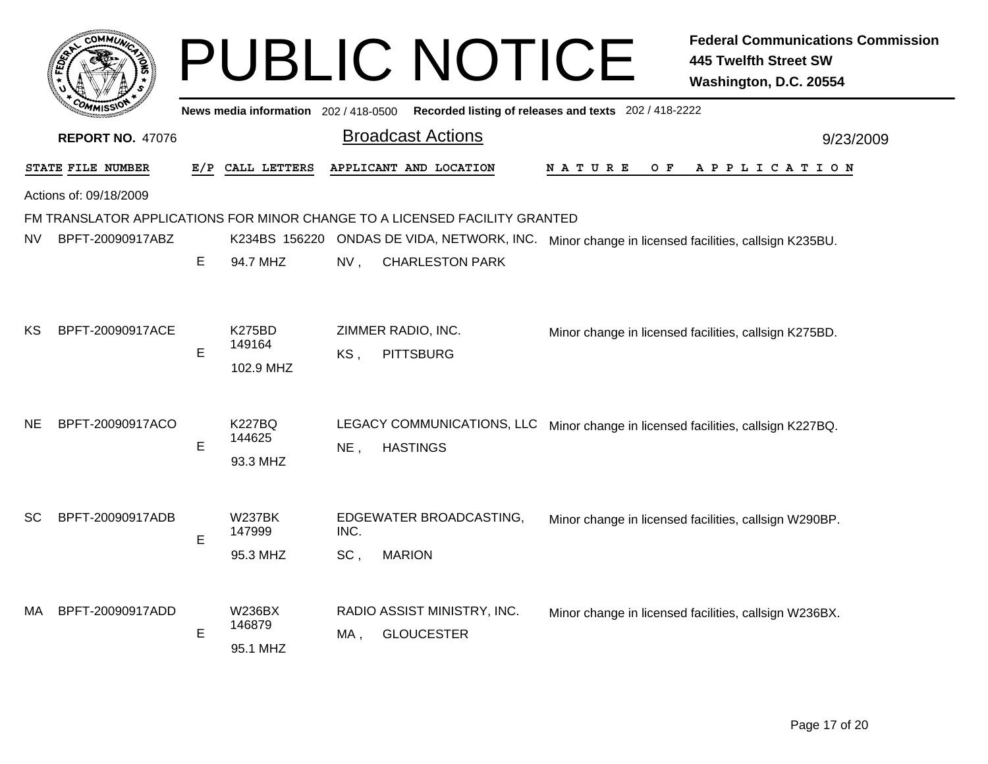|           |                         |   |                                                 |                           | <b>PUBLIC NOTICE</b>                                                                             |                                                       | <b>Federal Communications Commission</b><br><b>445 Twelfth Street SW</b><br>Washington, D.C. 20554 |
|-----------|-------------------------|---|-------------------------------------------------|---------------------------|--------------------------------------------------------------------------------------------------|-------------------------------------------------------|----------------------------------------------------------------------------------------------------|
|           |                         |   | News media information 202/418-0500             |                           |                                                                                                  | Recorded listing of releases and texts 202 / 418-2222 |                                                                                                    |
|           | <b>REPORT NO. 47076</b> |   |                                                 |                           | <b>Broadcast Actions</b>                                                                         |                                                       | 9/23/2009                                                                                          |
|           | STATE FILE NUMBER       |   | E/P CALL LETTERS                                |                           | APPLICANT AND LOCATION                                                                           | N A T U R E<br>O F                                    | A P P L I C A T I O N                                                                              |
|           | Actions of: 09/18/2009  |   |                                                 |                           |                                                                                                  |                                                       |                                                                                                    |
|           |                         |   |                                                 |                           | FM TRANSLATOR APPLICATIONS FOR MINOR CHANGE TO A LICENSED FACILITY GRANTED                       |                                                       |                                                                                                    |
| <b>NV</b> | BPFT-20090917ABZ        |   |                                                 |                           | K234BS 156220 ONDAS DE VIDA, NETWORK, INC. Minor change in licensed facilities, callsign K235BU. |                                                       |                                                                                                    |
|           |                         | E | 94.7 MHZ                                        | $NV$ ,                    | <b>CHARLESTON PARK</b>                                                                           |                                                       |                                                                                                    |
| ΚS        | BPFT-20090917ACE        | E | <b>K275BD</b><br>149164<br>102.9 MHZ            | KS,                       | ZIMMER RADIO, INC.<br><b>PITTSBURG</b>                                                           |                                                       | Minor change in licensed facilities, callsign K275BD.                                              |
| <b>NE</b> | BPFT-20090917ACO        |   | <b>K227BQ</b>                                   |                           | LEGACY COMMUNICATIONS, LLC Minor change in licensed facilities, callsign K227BQ.                 |                                                       |                                                                                                    |
|           |                         | E | 144625                                          | $NE$ ,<br><b>HASTINGS</b> |                                                                                                  |                                                       |                                                                                                    |
| SC        | BPFT-20090917ADB        | E | 93.3 MHZ<br><b>W237BK</b><br>147999<br>95.3 MHZ | INC.<br>SC,               | EDGEWATER BROADCASTING,<br><b>MARION</b>                                                         |                                                       | Minor change in licensed facilities, callsign W290BP.                                              |
| MA        | BPFT-20090917ADD        | E | <b>W236BX</b><br>146879<br>95.1 MHZ             | MA .                      | RADIO ASSIST MINISTRY, INC.<br><b>GLOUCESTER</b>                                                 |                                                       | Minor change in licensed facilities, callsign W236BX.                                              |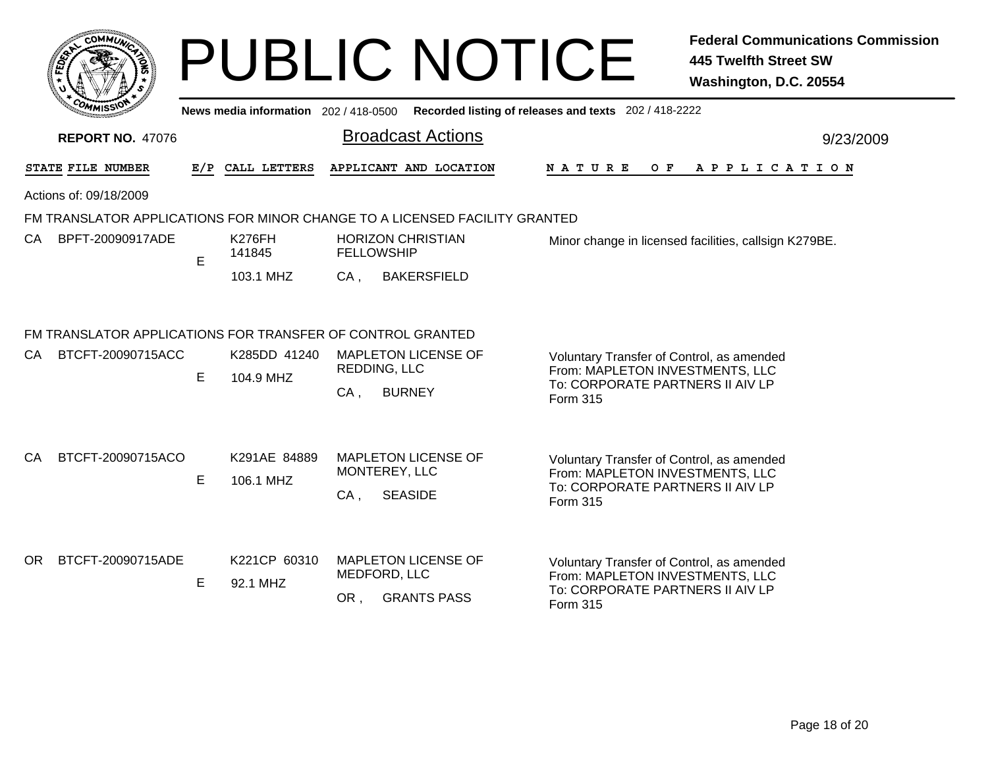|                                                                                                                                                                                   |                         |     |                           |                        | <b>PUBLIC NOTICE</b>                                                                        |                                                                                                                              | <b>Federal Communications Commission</b><br><b>445 Twelfth Street SW</b><br>Washington, D.C. 20554 |
|-----------------------------------------------------------------------------------------------------------------------------------------------------------------------------------|-------------------------|-----|---------------------------|------------------------|---------------------------------------------------------------------------------------------|------------------------------------------------------------------------------------------------------------------------------|----------------------------------------------------------------------------------------------------|
|                                                                                                                                                                                   |                         |     |                           |                        | News media information 202 / 418-0500 Recorded listing of releases and texts 202 / 418-2222 |                                                                                                                              |                                                                                                    |
|                                                                                                                                                                                   | <b>REPORT NO. 47076</b> |     |                           |                        | <b>Broadcast Actions</b>                                                                    |                                                                                                                              | 9/23/2009                                                                                          |
|                                                                                                                                                                                   | STATE FILE NUMBER       | E/P | CALL LETTERS              |                        | APPLICANT AND LOCATION                                                                      | <b>NATURE</b>                                                                                                                | OF APPLICATION                                                                                     |
|                                                                                                                                                                                   | Actions of: 09/18/2009  |     |                           |                        |                                                                                             |                                                                                                                              |                                                                                                    |
|                                                                                                                                                                                   |                         |     |                           |                        | FM TRANSLATOR APPLICATIONS FOR MINOR CHANGE TO A LICENSED FACILITY GRANTED                  |                                                                                                                              |                                                                                                    |
| CA.                                                                                                                                                                               | BPFT-20090917ADE        | E   | K276FH<br>141845          | <b>FELLOWSHIP</b>      | <b>HORIZON CHRISTIAN</b>                                                                    | Minor change in licensed facilities, callsign K279BE.                                                                        |                                                                                                    |
|                                                                                                                                                                                   |                         |     | 103.1 MHZ                 | $CA$ ,                 | <b>BAKERSFIELD</b>                                                                          |                                                                                                                              |                                                                                                    |
| FM TRANSLATOR APPLICATIONS FOR TRANSFER OF CONTROL GRANTED<br>BTCFT-20090715ACC<br>K285DD 41240<br><b>MAPLETON LICENSE OF</b><br>CA.<br>Voluntary Transfer of Control, as amended |                         |     |                           |                        |                                                                                             |                                                                                                                              |                                                                                                    |
|                                                                                                                                                                                   |                         | E   | 104.9 MHZ                 | REDDING, LLC<br>$CA$ , | <b>BURNEY</b>                                                                               | From: MAPLETON INVESTMENTS, LLC<br>To: CORPORATE PARTNERS II AIV LP<br>Form 315                                              |                                                                                                    |
| CA.                                                                                                                                                                               | BTCFT-20090715ACO       | E   | K291AE 84889<br>106.1 MHZ | CA,                    | <b>MAPLETON LICENSE OF</b><br>MONTEREY, LLC<br><b>SEASIDE</b>                               | Voluntary Transfer of Control, as amended<br>From: MAPLETON INVESTMENTS, LLC<br>To: CORPORATE PARTNERS II AIV LP<br>Form 315 |                                                                                                    |
| OR.                                                                                                                                                                               | BTCFT-20090715ADE       | Е   | K221CP 60310<br>92.1 MHZ  | MEDFORD, LLC<br>OR ,   | <b>MAPLETON LICENSE OF</b><br><b>GRANTS PASS</b>                                            | Voluntary Transfer of Control, as amended<br>From: MAPLETON INVESTMENTS, LLC<br>To: CORPORATE PARTNERS II AIV LP<br>Form 315 |                                                                                                    |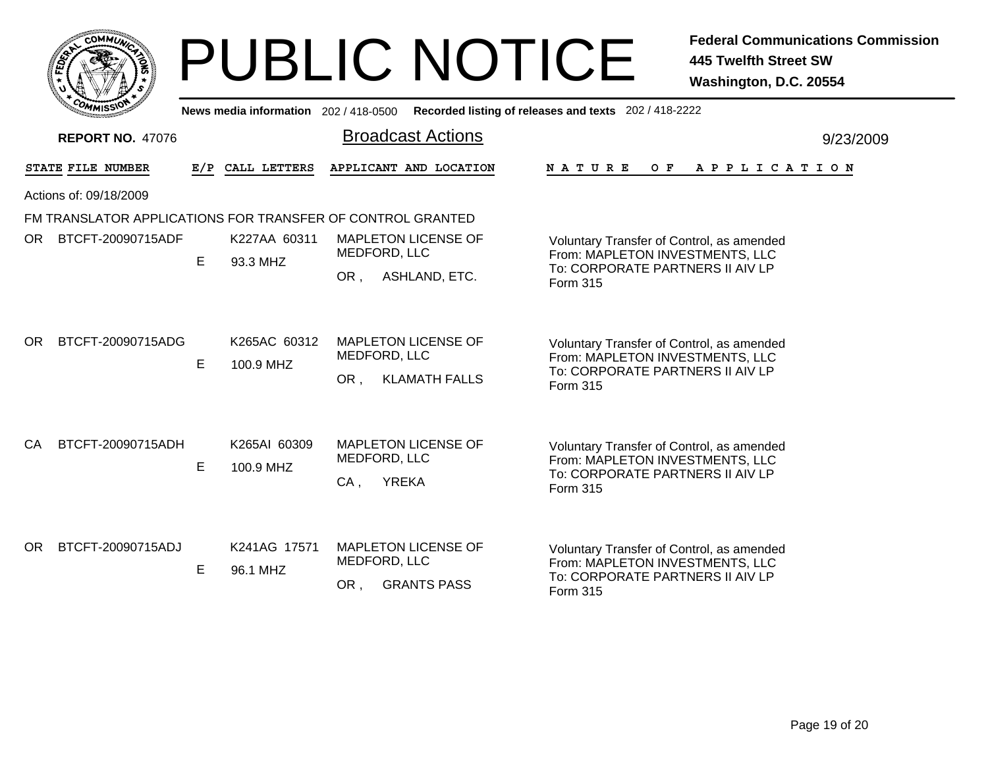|      |     | <b>MMUNT</b><br>ا0، | ¢. |  |
|------|-----|---------------------|----|--|
| ప్లో |     |                     |    |  |
|      |     |                     |    |  |
|      | COM | MISS<br>mua         |    |  |

|     | <b>COMMISSION</b>       |   |                           | News media information 202 / 418-0500 Recorded listing of releases and texts 202 / 418-2222 |                                                                                                                                     |           |
|-----|-------------------------|---|---------------------------|---------------------------------------------------------------------------------------------|-------------------------------------------------------------------------------------------------------------------------------------|-----------|
|     | <b>REPORT NO. 47076</b> |   |                           | <b>Broadcast Actions</b>                                                                    |                                                                                                                                     | 9/23/2009 |
|     | STATE FILE NUMBER       |   | E/P CALL LETTERS          | APPLICANT AND LOCATION                                                                      | NATURE<br>A P P L I C A T I O N<br>O F                                                                                              |           |
|     | Actions of: 09/18/2009  |   |                           |                                                                                             |                                                                                                                                     |           |
|     |                         |   |                           | FM TRANSLATOR APPLICATIONS FOR TRANSFER OF CONTROL GRANTED                                  |                                                                                                                                     |           |
| OR. | BTCFT-20090715ADF       | E | K227AA 60311<br>93.3 MHZ  | <b>MAPLETON LICENSE OF</b><br>MEDFORD, LLC                                                  | Voluntary Transfer of Control, as amended<br>From: MAPLETON INVESTMENTS, LLC                                                        |           |
|     |                         |   |                           | ASHLAND, ETC.<br>OR.                                                                        | To: CORPORATE PARTNERS II AIV LP<br>Form 315                                                                                        |           |
| OR. | BTCFT-20090715ADG       | E | K265AC 60312<br>100.9 MHZ | <b>MAPLETON LICENSE OF</b><br>MEDFORD, LLC<br><b>KLAMATH FALLS</b><br>OR,                   | Voluntary Transfer of Control, as amended<br>From: MAPLETON INVESTMENTS, LLC<br>To: CORPORATE PARTNERS II AIV LP<br><b>Form 315</b> |           |
| CA. | BTCFT-20090715ADH       | E | K265AI 60309<br>100.9 MHZ | <b>MAPLETON LICENSE OF</b><br>MEDFORD, LLC<br><b>YREKA</b><br>$CA$ ,                        | Voluntary Transfer of Control, as amended<br>From: MAPLETON INVESTMENTS, LLC<br>To: CORPORATE PARTNERS II AIV LP<br>Form 315        |           |
| OR. | BTCFT-20090715ADJ       | E | K241AG 17571<br>96.1 MHZ  | <b>MAPLETON LICENSE OF</b><br>MEDFORD, LLC<br><b>GRANTS PASS</b><br>OR,                     | Voluntary Transfer of Control, as amended<br>From: MAPLETON INVESTMENTS, LLC<br>To: CORPORATE PARTNERS II AIV LP<br>Form 315        |           |